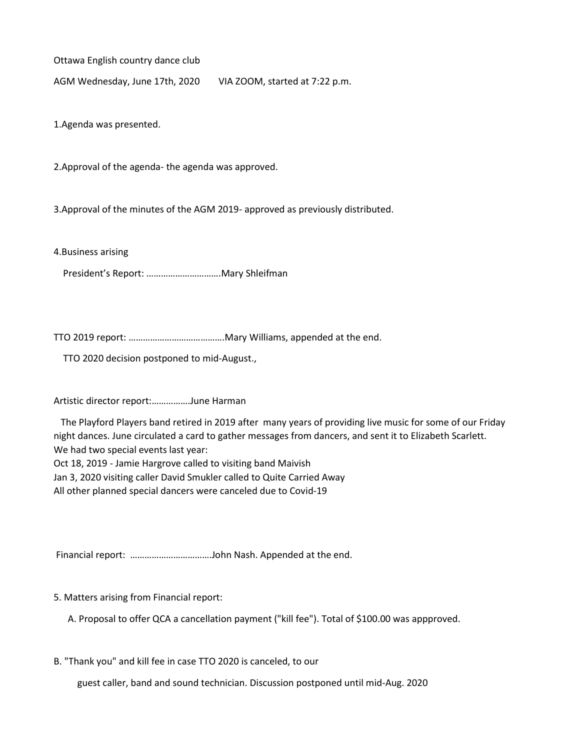Ottawa English country dance club

AGM Wednesday, June 17th, 2020 VIA ZOOM, started at 7:22 p.m.

1.Agenda was presented.

2.Approval of the agenda- the agenda was approved.

3.Approval of the minutes of the AGM 2019- approved as previously distributed.

4.Business arising

President's Report: ………………………….Mary Shleifman

TTO 2019 report: ………………………………….Mary Williams, appended at the end.

TTO 2020 decision postponed to mid-August.,

Artistic director report:…………….June Harman

The Playford Players band retired in 2019 after many years of providing live music for some of our Friday night dances. June circulated a card to gather messages from dancers, and sent it to Elizabeth Scarlett. We had two special events last year:

Oct 18, 2019 - Jamie Hargrove called to visiting band Maivish

Jan 3, 2020 visiting caller David Smukler called to Quite Carried Away

All other planned special dancers were canceled due to Covid-19

Financial report: …………………………….John Nash. Appended at the end.

5. Matters arising from Financial report:

A. Proposal to offer QCA a cancellation payment ("kill fee"). Total of \$100.00 was appproved.

B. "Thank you" and kill fee in case TTO 2020 is canceled, to our

guest caller, band and sound technician. Discussion postponed until mid-Aug. 2020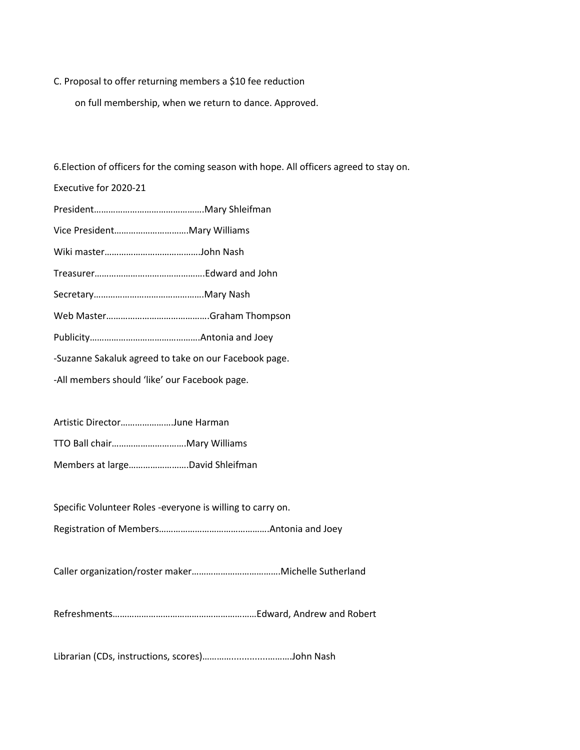## C. Proposal to offer returning members a \$10 fee reduction

on full membership, when we return to dance. Approved.

6.Election of officers for the coming season with hope. All officers agreed to stay on.

Executive for 2020-21

| -Suzanne Sakaluk agreed to take on our Facebook page. |  |
|-------------------------------------------------------|--|
| -All members should 'like' our Facebook page.         |  |

Artistic Director………………….June Harman

TTO Ball chair………………………….Mary Williams

Members at large…………………….David Shleifman

Specific Volunteer Roles -everyone is willing to carry on.

Registration of Members……………………………………….Antonia and Joey

Caller organization/roster maker……………………………….Michelle Sutherland

Refreshments……………………………………………………Edward, Andrew and Robert

Librarian (CDs, instructions, scores)…………..............……….John Nash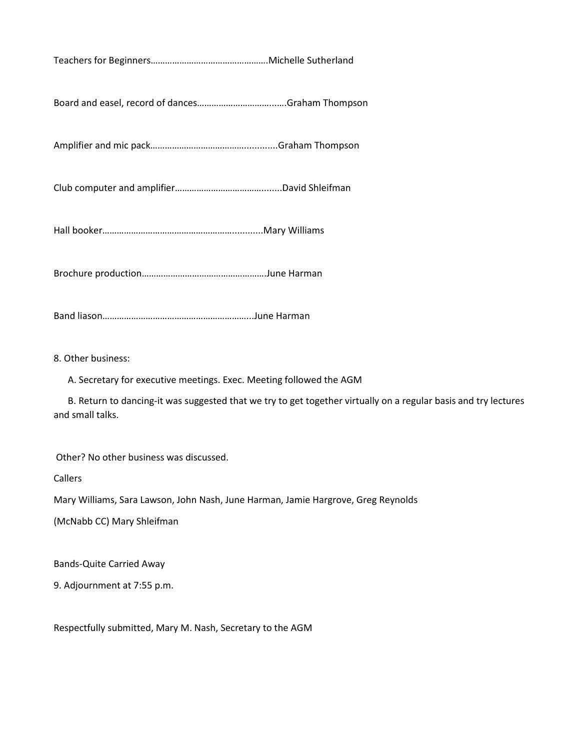Teachers for Beginners………………………………………….Michelle Sutherland

Board and easel, record of dances…………………………...….Graham Thompson

Amplifier and mic pack………………………………….............Graham Thompson

Club computer and amplifier………………………………........David Shleifman

Hall booker………………………………………………............Mary Williams

Brochure production…………………………………………….June Harman

Band liason……………………………………………………...June Harman

8. Other business:

A. Secretary for executive meetings. Exec. Meeting followed the AGM

B. Return to dancing-it was suggested that we try to get together virtually on a regular basis and try lectures and small talks.

Other? No other business was discussed.

Callers

Mary Williams, Sara Lawson, John Nash, June Harman, Jamie Hargrove, Greg Reynolds

(McNabb CC) Mary Shleifman

Bands-Quite Carried Away

9. Adjournment at 7:55 p.m.

Respectfully submitted, Mary M. Nash, Secretary to the AGM